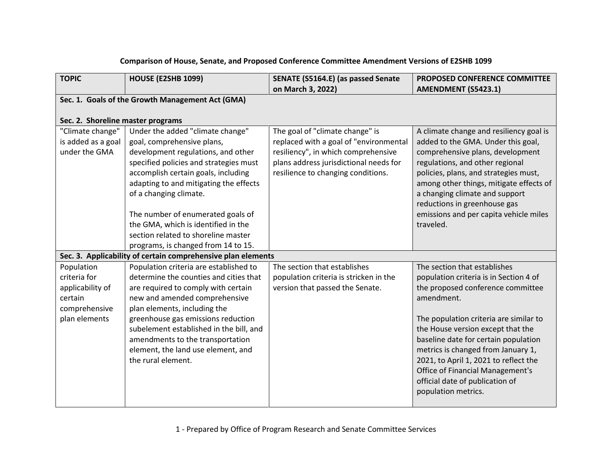| <b>TOPIC</b>       | <b>HOUSE (E2SHB 1099)</b>                                    | SENATE (S5164.E) (as passed Senate     | <b>PROPOSED CONFERENCE COMMITTEE</b>                                   |  |
|--------------------|--------------------------------------------------------------|----------------------------------------|------------------------------------------------------------------------|--|
|                    |                                                              | on March 3, 2022)                      | <b>AMENDMENT (S5423.1)</b>                                             |  |
|                    | Sec. 1. Goals of the Growth Management Act (GMA)             |                                        |                                                                        |  |
|                    |                                                              |                                        |                                                                        |  |
|                    | Sec. 2. Shoreline master programs                            |                                        |                                                                        |  |
| "Climate change"   | Under the added "climate change"                             | The goal of "climate change" is        | A climate change and resiliency goal is                                |  |
| is added as a goal | goal, comprehensive plans,                                   | replaced with a goal of "environmental | added to the GMA. Under this goal,                                     |  |
| under the GMA      | development regulations, and other                           | resiliency", in which comprehensive    | comprehensive plans, development                                       |  |
|                    | specified policies and strategies must                       | plans address jurisdictional needs for | regulations, and other regional                                        |  |
|                    | accomplish certain goals, including                          | resilience to changing conditions.     | policies, plans, and strategies must,                                  |  |
|                    | adapting to and mitigating the effects                       |                                        | among other things, mitigate effects of                                |  |
|                    | of a changing climate.                                       |                                        | a changing climate and support                                         |  |
|                    | The number of enumerated goals of                            |                                        | reductions in greenhouse gas<br>emissions and per capita vehicle miles |  |
|                    | the GMA, which is identified in the                          |                                        | traveled.                                                              |  |
|                    | section related to shoreline master                          |                                        |                                                                        |  |
|                    | programs, is changed from 14 to 15.                          |                                        |                                                                        |  |
|                    | Sec. 3. Applicability of certain comprehensive plan elements |                                        |                                                                        |  |
| Population         | Population criteria are established to                       | The section that establishes           | The section that establishes                                           |  |
| criteria for       | determine the counties and cities that                       | population criteria is stricken in the | population criteria is in Section 4 of                                 |  |
| applicability of   | are required to comply with certain                          | version that passed the Senate.        | the proposed conference committee                                      |  |
| certain            | new and amended comprehensive                                |                                        | amendment.                                                             |  |
| comprehensive      | plan elements, including the                                 |                                        |                                                                        |  |
| plan elements      | greenhouse gas emissions reduction                           |                                        | The population criteria are similar to                                 |  |
|                    | subelement established in the bill, and                      |                                        | the House version except that the                                      |  |
|                    | amendments to the transportation                             |                                        | baseline date for certain population                                   |  |
|                    | element, the land use element, and                           |                                        | metrics is changed from January 1,                                     |  |
|                    | the rural element.                                           |                                        | 2021, to April 1, 2021 to reflect the                                  |  |
|                    |                                                              |                                        | <b>Office of Financial Management's</b>                                |  |
|                    |                                                              |                                        | official date of publication of                                        |  |
|                    |                                                              |                                        | population metrics.                                                    |  |
|                    |                                                              |                                        |                                                                        |  |

## **Comparison of House, Senate, and Proposed Conference Committee Amendment Versions of E2SHB 1099**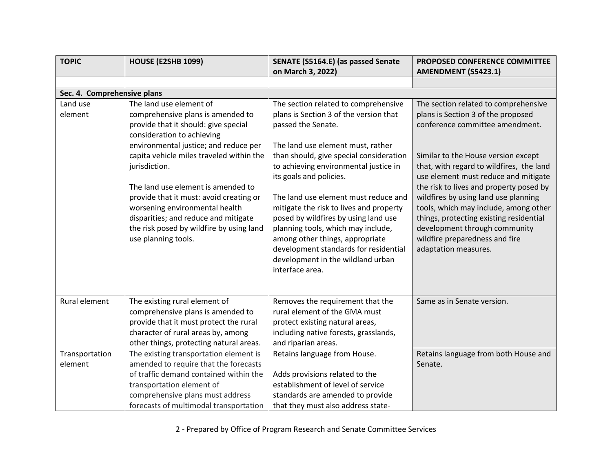| <b>TOPIC</b>                | <b>HOUSE (E2SHB 1099)</b>                                                    | SENATE (S5164.E) (as passed Senate                                       | <b>PROPOSED CONFERENCE COMMITTEE</b>                                             |
|-----------------------------|------------------------------------------------------------------------------|--------------------------------------------------------------------------|----------------------------------------------------------------------------------|
|                             |                                                                              | on March 3, 2022)                                                        | <b>AMENDMENT (S5423.1)</b>                                                       |
|                             |                                                                              |                                                                          |                                                                                  |
| Sec. 4. Comprehensive plans |                                                                              |                                                                          |                                                                                  |
| Land use                    | The land use element of                                                      | The section related to comprehensive                                     | The section related to comprehensive                                             |
| element                     | comprehensive plans is amended to                                            | plans is Section 3 of the version that                                   | plans is Section 3 of the proposed                                               |
|                             | provide that it should: give special                                         | passed the Senate.                                                       | conference committee amendment.                                                  |
|                             | consideration to achieving                                                   |                                                                          |                                                                                  |
|                             | environmental justice; and reduce per                                        | The land use element must, rather                                        |                                                                                  |
|                             | capita vehicle miles traveled within the                                     | than should, give special consideration                                  | Similar to the House version except                                              |
|                             | jurisdiction.                                                                | to achieving environmental justice in<br>its goals and policies.         | that, with regard to wildfires, the land<br>use element must reduce and mitigate |
|                             | The land use element is amended to                                           |                                                                          | the risk to lives and property posed by                                          |
|                             | provide that it must: avoid creating or                                      | The land use element must reduce and                                     | wildfires by using land use planning                                             |
|                             | worsening environmental health                                               | mitigate the risk to lives and property                                  | tools, which may include, among other                                            |
|                             | disparities; and reduce and mitigate                                         | posed by wildfires by using land use                                     | things, protecting existing residential                                          |
|                             | the risk posed by wildfire by using land                                     | planning tools, which may include,                                       | development through community                                                    |
|                             | use planning tools.                                                          | among other things, appropriate                                          | wildfire preparedness and fire                                                   |
|                             |                                                                              | development standards for residential                                    | adaptation measures.                                                             |
|                             |                                                                              | development in the wildland urban                                        |                                                                                  |
|                             |                                                                              | interface area.                                                          |                                                                                  |
|                             |                                                                              |                                                                          |                                                                                  |
|                             |                                                                              |                                                                          |                                                                                  |
| Rural element               | The existing rural element of                                                | Removes the requirement that the                                         | Same as in Senate version.                                                       |
|                             | comprehensive plans is amended to                                            | rural element of the GMA must                                            |                                                                                  |
|                             | provide that it must protect the rural<br>character of rural areas by, among | protect existing natural areas,<br>including native forests, grasslands, |                                                                                  |
|                             | other things, protecting natural areas.                                      | and riparian areas.                                                      |                                                                                  |
| Transportation              | The existing transportation element is                                       | Retains language from House.                                             | Retains language from both House and                                             |
| element                     | amended to require that the forecasts                                        |                                                                          | Senate.                                                                          |
|                             | of traffic demand contained within the                                       | Adds provisions related to the                                           |                                                                                  |
|                             | transportation element of                                                    | establishment of level of service                                        |                                                                                  |
|                             | comprehensive plans must address                                             | standards are amended to provide                                         |                                                                                  |
|                             | forecasts of multimodal transportation                                       | that they must also address state-                                       |                                                                                  |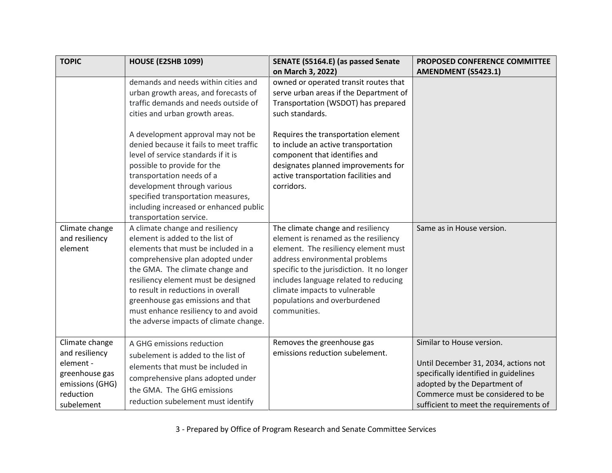| <b>TOPIC</b>                                                                                                  | <b>HOUSE (E2SHB 1099)</b>                                                                                                                                                                                                                                                                                                                                                                                                                                                                                                                                                                                                                                              | SENATE (S5164.E) (as passed Senate                                                                                                                                                                                                                                                                                                                                                                                                                                                                                                                                              | PROPOSED CONFERENCE COMMITTEE                                                                                                                                                                                             |
|---------------------------------------------------------------------------------------------------------------|------------------------------------------------------------------------------------------------------------------------------------------------------------------------------------------------------------------------------------------------------------------------------------------------------------------------------------------------------------------------------------------------------------------------------------------------------------------------------------------------------------------------------------------------------------------------------------------------------------------------------------------------------------------------|---------------------------------------------------------------------------------------------------------------------------------------------------------------------------------------------------------------------------------------------------------------------------------------------------------------------------------------------------------------------------------------------------------------------------------------------------------------------------------------------------------------------------------------------------------------------------------|---------------------------------------------------------------------------------------------------------------------------------------------------------------------------------------------------------------------------|
| Climate change<br>and resiliency<br>element                                                                   | demands and needs within cities and<br>urban growth areas, and forecasts of<br>traffic demands and needs outside of<br>cities and urban growth areas.<br>A development approval may not be<br>denied because it fails to meet traffic<br>level of service standards if it is<br>possible to provide for the<br>transportation needs of a<br>development through various<br>specified transportation measures,<br>including increased or enhanced public<br>transportation service.<br>A climate change and resiliency<br>element is added to the list of<br>elements that must be included in a<br>comprehensive plan adopted under<br>the GMA. The climate change and | on March 3, 2022)<br>owned or operated transit routes that<br>serve urban areas if the Department of<br>Transportation (WSDOT) has prepared<br>such standards.<br>Requires the transportation element<br>to include an active transportation<br>component that identifies and<br>designates planned improvements for<br>active transportation facilities and<br>corridors.<br>The climate change and resiliency<br>element is renamed as the resiliency<br>element. The resiliency element must<br>address environmental problems<br>specific to the jurisdiction. It no longer | <b>AMENDMENT (S5423.1)</b><br>Same as in House version.                                                                                                                                                                   |
|                                                                                                               | resiliency element must be designed<br>to result in reductions in overall<br>greenhouse gas emissions and that<br>must enhance resiliency to and avoid<br>the adverse impacts of climate change.                                                                                                                                                                                                                                                                                                                                                                                                                                                                       | includes language related to reducing<br>climate impacts to vulnerable<br>populations and overburdened<br>communities.                                                                                                                                                                                                                                                                                                                                                                                                                                                          |                                                                                                                                                                                                                           |
| Climate change<br>and resiliency<br>element -<br>greenhouse gas<br>emissions (GHG)<br>reduction<br>subelement | A GHG emissions reduction<br>subelement is added to the list of<br>elements that must be included in<br>comprehensive plans adopted under<br>the GMA. The GHG emissions<br>reduction subelement must identify                                                                                                                                                                                                                                                                                                                                                                                                                                                          | Removes the greenhouse gas<br>emissions reduction subelement.                                                                                                                                                                                                                                                                                                                                                                                                                                                                                                                   | Similar to House version.<br>Until December 31, 2034, actions not<br>specifically identified in guidelines<br>adopted by the Department of<br>Commerce must be considered to be<br>sufficient to meet the requirements of |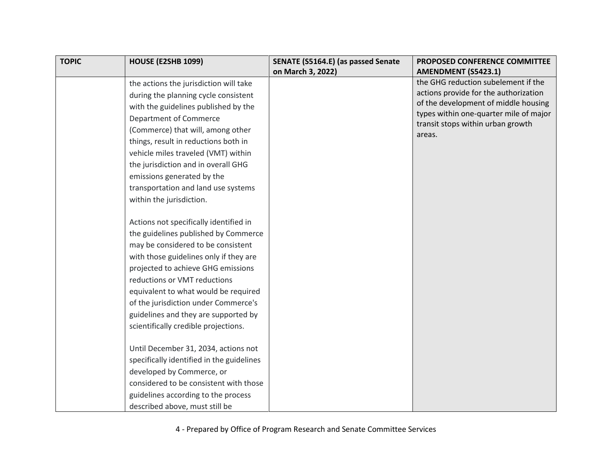| <b>TOPIC</b> | <b>HOUSE (E2SHB 1099)</b>                 | SENATE (S5164.E) (as passed Senate | PROPOSED CONFERENCE COMMITTEE                                               |
|--------------|-------------------------------------------|------------------------------------|-----------------------------------------------------------------------------|
|              |                                           | on March 3, 2022)                  | <b>AMENDMENT (S5423.1)</b>                                                  |
|              | the actions the jurisdiction will take    |                                    | the GHG reduction subelement if the                                         |
|              | during the planning cycle consistent      |                                    | actions provide for the authorization                                       |
|              | with the guidelines published by the      |                                    | of the development of middle housing                                        |
|              | Department of Commerce                    |                                    | types within one-quarter mile of major<br>transit stops within urban growth |
|              | (Commerce) that will, among other         |                                    | areas.                                                                      |
|              | things, result in reductions both in      |                                    |                                                                             |
|              | vehicle miles traveled (VMT) within       |                                    |                                                                             |
|              | the jurisdiction and in overall GHG       |                                    |                                                                             |
|              | emissions generated by the                |                                    |                                                                             |
|              | transportation and land use systems       |                                    |                                                                             |
|              | within the jurisdiction.                  |                                    |                                                                             |
|              |                                           |                                    |                                                                             |
|              | Actions not specifically identified in    |                                    |                                                                             |
|              | the guidelines published by Commerce      |                                    |                                                                             |
|              | may be considered to be consistent        |                                    |                                                                             |
|              | with those guidelines only if they are    |                                    |                                                                             |
|              | projected to achieve GHG emissions        |                                    |                                                                             |
|              | reductions or VMT reductions              |                                    |                                                                             |
|              | equivalent to what would be required      |                                    |                                                                             |
|              | of the jurisdiction under Commerce's      |                                    |                                                                             |
|              | guidelines and they are supported by      |                                    |                                                                             |
|              | scientifically credible projections.      |                                    |                                                                             |
|              |                                           |                                    |                                                                             |
|              | Until December 31, 2034, actions not      |                                    |                                                                             |
|              | specifically identified in the guidelines |                                    |                                                                             |
|              | developed by Commerce, or                 |                                    |                                                                             |
|              | considered to be consistent with those    |                                    |                                                                             |
|              | guidelines according to the process       |                                    |                                                                             |
|              | described above, must still be            |                                    |                                                                             |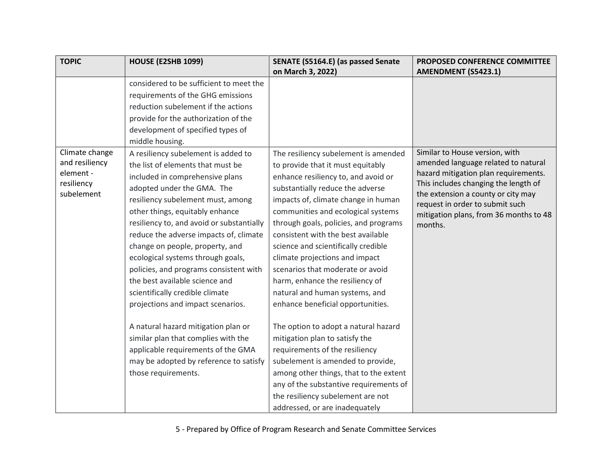| <b>TOPIC</b>             | <b>HOUSE (E2SHB 1099)</b>                 | SENATE (S5164.E) (as passed Senate     | PROPOSED CONFERENCE COMMITTEE                                              |
|--------------------------|-------------------------------------------|----------------------------------------|----------------------------------------------------------------------------|
|                          |                                           | on March 3, 2022)                      | AMENDMENT (S5423.1)                                                        |
|                          | considered to be sufficient to meet the   |                                        |                                                                            |
|                          | requirements of the GHG emissions         |                                        |                                                                            |
|                          | reduction subelement if the actions       |                                        |                                                                            |
|                          | provide for the authorization of the      |                                        |                                                                            |
|                          | development of specified types of         |                                        |                                                                            |
|                          | middle housing.                           |                                        |                                                                            |
| Climate change           | A resiliency subelement is added to       | The resiliency subelement is amended   | Similar to House version, with                                             |
| and resiliency           | the list of elements that must be         | to provide that it must equitably      | amended language related to natural                                        |
| element -                | included in comprehensive plans           | enhance resiliency to, and avoid or    | hazard mitigation plan requirements.                                       |
| resiliency<br>subelement | adopted under the GMA. The                | substantially reduce the adverse       | This includes changing the length of<br>the extension a county or city may |
|                          | resiliency subelement must, among         | impacts of, climate change in human    | request in order to submit such                                            |
|                          | other things, equitably enhance           | communities and ecological systems     | mitigation plans, from 36 months to 48                                     |
|                          | resiliency to, and avoid or substantially | through goals, policies, and programs  | months.                                                                    |
|                          | reduce the adverse impacts of, climate    | consistent with the best available     |                                                                            |
|                          | change on people, property, and           | science and scientifically credible    |                                                                            |
|                          | ecological systems through goals,         | climate projections and impact         |                                                                            |
|                          | policies, and programs consistent with    | scenarios that moderate or avoid       |                                                                            |
|                          | the best available science and            | harm, enhance the resiliency of        |                                                                            |
|                          | scientifically credible climate           | natural and human systems, and         |                                                                            |
|                          | projections and impact scenarios.         | enhance beneficial opportunities.      |                                                                            |
|                          |                                           |                                        |                                                                            |
|                          | A natural hazard mitigation plan or       | The option to adopt a natural hazard   |                                                                            |
|                          | similar plan that complies with the       | mitigation plan to satisfy the         |                                                                            |
|                          | applicable requirements of the GMA        | requirements of the resiliency         |                                                                            |
|                          | may be adopted by reference to satisfy    | subelement is amended to provide,      |                                                                            |
|                          | those requirements.                       | among other things, that to the extent |                                                                            |
|                          |                                           | any of the substantive requirements of |                                                                            |
|                          |                                           | the resiliency subelement are not      |                                                                            |
|                          |                                           | addressed, or are inadequately         |                                                                            |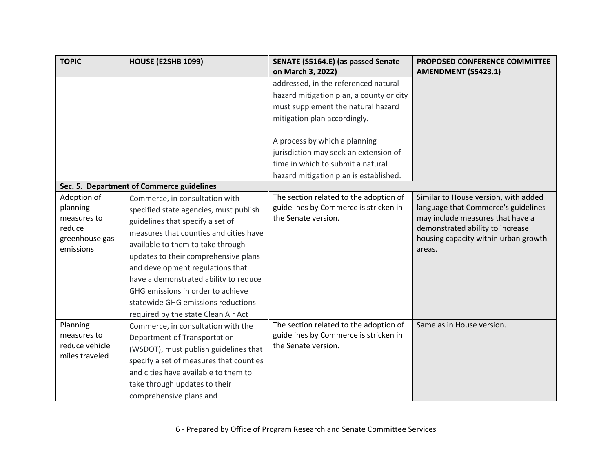| <b>TOPIC</b>          | <b>HOUSE (E2SHB 1099)</b>                 | SENATE (S5164.E) (as passed Senate                           | PROPOSED CONFERENCE COMMITTEE                                        |
|-----------------------|-------------------------------------------|--------------------------------------------------------------|----------------------------------------------------------------------|
|                       |                                           | on March 3, 2022)                                            | <b>AMENDMENT (S5423.1)</b>                                           |
|                       |                                           | addressed, in the referenced natural                         |                                                                      |
|                       |                                           | hazard mitigation plan, a county or city                     |                                                                      |
|                       |                                           | must supplement the natural hazard                           |                                                                      |
|                       |                                           | mitigation plan accordingly.                                 |                                                                      |
|                       |                                           |                                                              |                                                                      |
|                       |                                           | A process by which a planning                                |                                                                      |
|                       |                                           | jurisdiction may seek an extension of                        |                                                                      |
|                       |                                           | time in which to submit a natural                            |                                                                      |
|                       |                                           | hazard mitigation plan is established.                       |                                                                      |
|                       | Sec. 5. Department of Commerce guidelines |                                                              |                                                                      |
| Adoption of           | Commerce, in consultation with            | The section related to the adoption of                       | Similar to House version, with added                                 |
| planning              | specified state agencies, must publish    | guidelines by Commerce is stricken in<br>the Senate version. | language that Commerce's guidelines                                  |
| measures to<br>reduce | guidelines that specify a set of          |                                                              | may include measures that have a<br>demonstrated ability to increase |
| greenhouse gas        | measures that counties and cities have    |                                                              | housing capacity within urban growth                                 |
| emissions             | available to them to take through         |                                                              | areas.                                                               |
|                       | updates to their comprehensive plans      |                                                              |                                                                      |
|                       | and development regulations that          |                                                              |                                                                      |
|                       | have a demonstrated ability to reduce     |                                                              |                                                                      |
|                       | GHG emissions in order to achieve         |                                                              |                                                                      |
|                       | statewide GHG emissions reductions        |                                                              |                                                                      |
|                       | required by the state Clean Air Act       |                                                              |                                                                      |
| Planning              | Commerce, in consultation with the        | The section related to the adoption of                       | Same as in House version.                                            |
| measures to           | Department of Transportation              | guidelines by Commerce is stricken in                        |                                                                      |
| reduce vehicle        | (WSDOT), must publish guidelines that     | the Senate version.                                          |                                                                      |
| miles traveled        | specify a set of measures that counties   |                                                              |                                                                      |
|                       | and cities have available to them to      |                                                              |                                                                      |
|                       | take through updates to their             |                                                              |                                                                      |
|                       | comprehensive plans and                   |                                                              |                                                                      |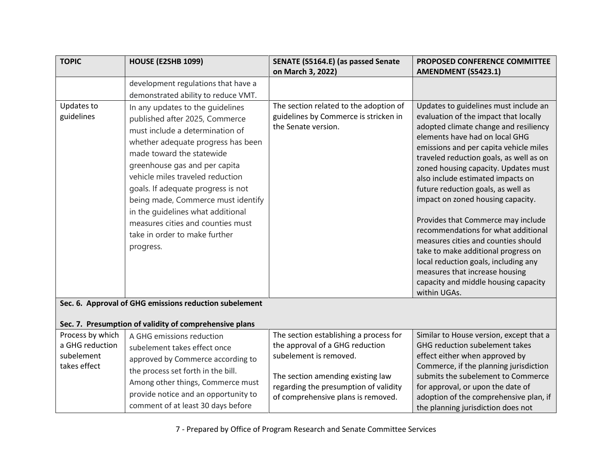| <b>TOPIC</b>                  | <b>HOUSE (E2SHB 1099)</b>                                                                                                                                                                                                                                                                                                                                                                                                                         | SENATE (S5164.E) (as passed Senate                                                                     | PROPOSED CONFERENCE COMMITTEE                                                                                                                                                                                                                                                                                                                                                                                                                                                                                                                                                                                                                                                                       |
|-------------------------------|---------------------------------------------------------------------------------------------------------------------------------------------------------------------------------------------------------------------------------------------------------------------------------------------------------------------------------------------------------------------------------------------------------------------------------------------------|--------------------------------------------------------------------------------------------------------|-----------------------------------------------------------------------------------------------------------------------------------------------------------------------------------------------------------------------------------------------------------------------------------------------------------------------------------------------------------------------------------------------------------------------------------------------------------------------------------------------------------------------------------------------------------------------------------------------------------------------------------------------------------------------------------------------------|
|                               |                                                                                                                                                                                                                                                                                                                                                                                                                                                   | on March 3, 2022)                                                                                      | <b>AMENDMENT (S5423.1)</b>                                                                                                                                                                                                                                                                                                                                                                                                                                                                                                                                                                                                                                                                          |
|                               | development regulations that have a                                                                                                                                                                                                                                                                                                                                                                                                               |                                                                                                        |                                                                                                                                                                                                                                                                                                                                                                                                                                                                                                                                                                                                                                                                                                     |
|                               | demonstrated ability to reduce VMT.                                                                                                                                                                                                                                                                                                                                                                                                               |                                                                                                        |                                                                                                                                                                                                                                                                                                                                                                                                                                                                                                                                                                                                                                                                                                     |
| Updates to<br>guidelines      | In any updates to the quidelines<br>published after 2025, Commerce<br>must include a determination of<br>whether adequate progress has been<br>made toward the statewide<br>greenhouse gas and per capita<br>vehicle miles traveled reduction<br>goals. If adequate progress is not<br>being made, Commerce must identify<br>in the quidelines what additional<br>measures cities and counties must<br>take in order to make further<br>progress. | The section related to the adoption of<br>guidelines by Commerce is stricken in<br>the Senate version. | Updates to guidelines must include an<br>evaluation of the impact that locally<br>adopted climate change and resiliency<br>elements have had on local GHG<br>emissions and per capita vehicle miles<br>traveled reduction goals, as well as on<br>zoned housing capacity. Updates must<br>also include estimated impacts on<br>future reduction goals, as well as<br>impact on zoned housing capacity.<br>Provides that Commerce may include<br>recommendations for what additional<br>measures cities and counties should<br>take to make additional progress on<br>local reduction goals, including any<br>measures that increase housing<br>capacity and middle housing capacity<br>within UGAs. |
|                               | Sec. 6. Approval of GHG emissions reduction subelement                                                                                                                                                                                                                                                                                                                                                                                            |                                                                                                        |                                                                                                                                                                                                                                                                                                                                                                                                                                                                                                                                                                                                                                                                                                     |
|                               | Sec. 7. Presumption of validity of comprehensive plans                                                                                                                                                                                                                                                                                                                                                                                            |                                                                                                        |                                                                                                                                                                                                                                                                                                                                                                                                                                                                                                                                                                                                                                                                                                     |
| Process by which              | A GHG emissions reduction                                                                                                                                                                                                                                                                                                                                                                                                                         | The section establishing a process for                                                                 | Similar to House version, except that a                                                                                                                                                                                                                                                                                                                                                                                                                                                                                                                                                                                                                                                             |
| a GHG reduction<br>subelement | subelement takes effect once                                                                                                                                                                                                                                                                                                                                                                                                                      | the approval of a GHG reduction<br>subelement is removed.                                              | GHG reduction subelement takes<br>effect either when approved by                                                                                                                                                                                                                                                                                                                                                                                                                                                                                                                                                                                                                                    |
| takes effect                  | approved by Commerce according to                                                                                                                                                                                                                                                                                                                                                                                                                 |                                                                                                        | Commerce, if the planning jurisdiction                                                                                                                                                                                                                                                                                                                                                                                                                                                                                                                                                                                                                                                              |
|                               | the process set forth in the bill.                                                                                                                                                                                                                                                                                                                                                                                                                | The section amending existing law                                                                      | submits the subelement to Commerce                                                                                                                                                                                                                                                                                                                                                                                                                                                                                                                                                                                                                                                                  |
|                               | Among other things, Commerce must                                                                                                                                                                                                                                                                                                                                                                                                                 | regarding the presumption of validity                                                                  | for approval, or upon the date of                                                                                                                                                                                                                                                                                                                                                                                                                                                                                                                                                                                                                                                                   |
|                               | provide notice and an opportunity to<br>comment of at least 30 days before                                                                                                                                                                                                                                                                                                                                                                        | of comprehensive plans is removed.                                                                     | adoption of the comprehensive plan, if<br>the planning jurisdiction does not                                                                                                                                                                                                                                                                                                                                                                                                                                                                                                                                                                                                                        |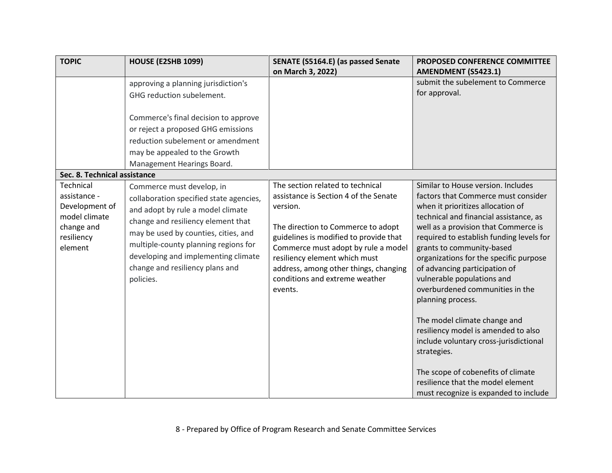| <b>TOPIC</b>                                                                                        | <b>HOUSE (E2SHB 1099)</b>                                                                                                                                                                                                                                                                                              | SENATE (S5164.E) (as passed Senate<br>on March 3, 2022)                                                                                                                                                                                                                                                                             | PROPOSED CONFERENCE COMMITTEE<br><b>AMENDMENT (S5423.1)</b>                                                                                                                                                                                                                                                                                                                                                                                                                                                                                                                                                                                                                                    |
|-----------------------------------------------------------------------------------------------------|------------------------------------------------------------------------------------------------------------------------------------------------------------------------------------------------------------------------------------------------------------------------------------------------------------------------|-------------------------------------------------------------------------------------------------------------------------------------------------------------------------------------------------------------------------------------------------------------------------------------------------------------------------------------|------------------------------------------------------------------------------------------------------------------------------------------------------------------------------------------------------------------------------------------------------------------------------------------------------------------------------------------------------------------------------------------------------------------------------------------------------------------------------------------------------------------------------------------------------------------------------------------------------------------------------------------------------------------------------------------------|
|                                                                                                     | approving a planning jurisdiction's<br>GHG reduction subelement.<br>Commerce's final decision to approve<br>or reject a proposed GHG emissions<br>reduction subelement or amendment<br>may be appealed to the Growth<br>Management Hearings Board.                                                                     |                                                                                                                                                                                                                                                                                                                                     | submit the subelement to Commerce<br>for approval.                                                                                                                                                                                                                                                                                                                                                                                                                                                                                                                                                                                                                                             |
| Sec. 8. Technical assistance                                                                        |                                                                                                                                                                                                                                                                                                                        |                                                                                                                                                                                                                                                                                                                                     |                                                                                                                                                                                                                                                                                                                                                                                                                                                                                                                                                                                                                                                                                                |
| Technical<br>assistance -<br>Development of<br>model climate<br>change and<br>resiliency<br>element | Commerce must develop, in<br>collaboration specified state agencies,<br>and adopt by rule a model climate<br>change and resiliency element that<br>may be used by counties, cities, and<br>multiple-county planning regions for<br>developing and implementing climate<br>change and resiliency plans and<br>policies. | The section related to technical<br>assistance is Section 4 of the Senate<br>version.<br>The direction to Commerce to adopt<br>guidelines is modified to provide that<br>Commerce must adopt by rule a model<br>resiliency element which must<br>address, among other things, changing<br>conditions and extreme weather<br>events. | Similar to House version. Includes<br>factors that Commerce must consider<br>when it prioritizes allocation of<br>technical and financial assistance, as<br>well as a provision that Commerce is<br>required to establish funding levels for<br>grants to community-based<br>organizations for the specific purpose<br>of advancing participation of<br>vulnerable populations and<br>overburdened communities in the<br>planning process.<br>The model climate change and<br>resiliency model is amended to also<br>include voluntary cross-jurisdictional<br>strategies.<br>The scope of cobenefits of climate<br>resilience that the model element<br>must recognize is expanded to include |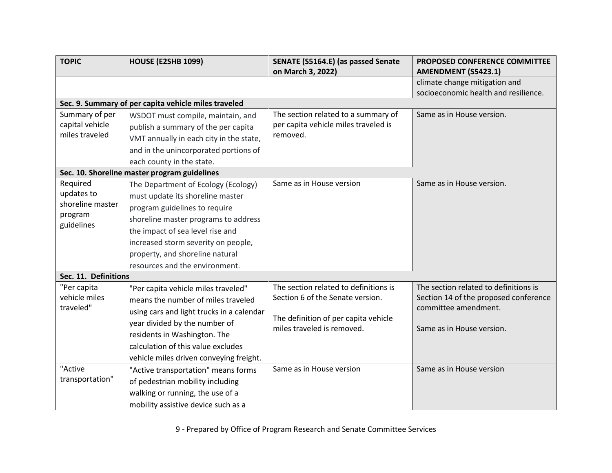| <b>TOPIC</b>          | <b>HOUSE (E2SHB 1099)</b>                            | SENATE (S5164.E) (as passed Senate    | <b>PROPOSED CONFERENCE COMMITTEE</b>  |
|-----------------------|------------------------------------------------------|---------------------------------------|---------------------------------------|
|                       |                                                      | on March 3, 2022)                     | <b>AMENDMENT (S5423.1)</b>            |
|                       |                                                      |                                       | climate change mitigation and         |
|                       |                                                      |                                       | socioeconomic health and resilience.  |
|                       | Sec. 9. Summary of per capita vehicle miles traveled |                                       |                                       |
| Summary of per        | WSDOT must compile, maintain, and                    | The section related to a summary of   | Same as in House version.             |
| capital vehicle       | publish a summary of the per capita                  | per capita vehicle miles traveled is  |                                       |
| miles traveled        | VMT annually in each city in the state,              | removed.                              |                                       |
|                       | and in the unincorporated portions of                |                                       |                                       |
|                       | each county in the state.                            |                                       |                                       |
|                       | Sec. 10. Shoreline master program guidelines         |                                       |                                       |
| Required              | The Department of Ecology (Ecology)                  | Same as in House version              | Same as in House version.             |
| updates to            | must update its shoreline master                     |                                       |                                       |
| shoreline master      | program guidelines to require                        |                                       |                                       |
| program<br>guidelines | shoreline master programs to address                 |                                       |                                       |
|                       | the impact of sea level rise and                     |                                       |                                       |
|                       | increased storm severity on people,                  |                                       |                                       |
|                       | property, and shoreline natural                      |                                       |                                       |
|                       | resources and the environment.                       |                                       |                                       |
| Sec. 11. Definitions  |                                                      |                                       |                                       |
| "Per capita           | "Per capita vehicle miles traveled"                  | The section related to definitions is | The section related to definitions is |
| vehicle miles         | means the number of miles traveled                   | Section 6 of the Senate version.      | Section 14 of the proposed conference |
| traveled"             | using cars and light trucks in a calendar            |                                       | committee amendment.                  |
|                       | year divided by the number of                        | The definition of per capita vehicle  |                                       |
|                       | residents in Washington. The                         | miles traveled is removed.            | Same as in House version.             |
|                       | calculation of this value excludes                   |                                       |                                       |
|                       | vehicle miles driven conveying freight.              |                                       |                                       |
| "Active               | "Active transportation" means forms                  | Same as in House version              | Same as in House version              |
| transportation"       | of pedestrian mobility including                     |                                       |                                       |
|                       | walking or running, the use of a                     |                                       |                                       |
|                       | mobility assistive device such as a                  |                                       |                                       |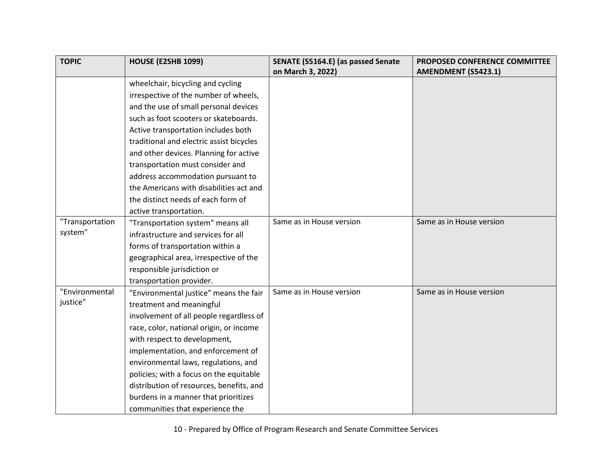| <b>TOPIC</b>    | <b>HOUSE (E2SHB 1099)</b>                | SENATE (S5164.E) (as passed Senate | PROPOSED CONFERENCE COMMITTEE |
|-----------------|------------------------------------------|------------------------------------|-------------------------------|
|                 |                                          | on March 3, 2022)                  | <b>AMENDMENT (S5423.1)</b>    |
|                 | wheelchair, bicycling and cycling        |                                    |                               |
|                 | irrespective of the number of wheels,    |                                    |                               |
|                 | and the use of small personal devices    |                                    |                               |
|                 | such as foot scooters or skateboards.    |                                    |                               |
|                 | Active transportation includes both      |                                    |                               |
|                 | traditional and electric assist bicycles |                                    |                               |
|                 | and other devices. Planning for active   |                                    |                               |
|                 | transportation must consider and         |                                    |                               |
|                 | address accommodation pursuant to        |                                    |                               |
|                 | the Americans with disabilities act and  |                                    |                               |
|                 | the distinct needs of each form of       |                                    |                               |
|                 | active transportation.                   |                                    |                               |
| "Transportation | "Transportation system" means all        | Same as in House version           | Same as in House version      |
| system"         | infrastructure and services for all      |                                    |                               |
|                 | forms of transportation within a         |                                    |                               |
|                 | geographical area, irrespective of the   |                                    |                               |
|                 | responsible jurisdiction or              |                                    |                               |
|                 | transportation provider.                 |                                    |                               |
| "Environmental  | "Environmental justice" means the fair   | Same as in House version           | Same as in House version      |
| justice"        | treatment and meaningful                 |                                    |                               |
|                 | involvement of all people regardless of  |                                    |                               |
|                 | race, color, national origin, or income  |                                    |                               |
|                 | with respect to development,             |                                    |                               |
|                 | implementation, and enforcement of       |                                    |                               |
|                 | environmental laws, regulations, and     |                                    |                               |
|                 | policies; with a focus on the equitable  |                                    |                               |
|                 | distribution of resources, benefits, and |                                    |                               |
|                 | burdens in a manner that prioritizes     |                                    |                               |
|                 | communities that experience the          |                                    |                               |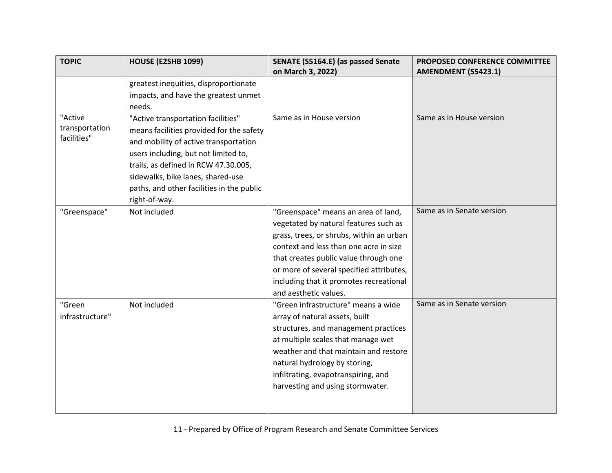| <b>TOPIC</b>    | <b>HOUSE (E2SHB 1099)</b>                 | SENATE (S5164.E) (as passed Senate       | PROPOSED CONFERENCE COMMITTEE |
|-----------------|-------------------------------------------|------------------------------------------|-------------------------------|
|                 |                                           | on March 3, 2022)                        | <b>AMENDMENT (S5423.1)</b>    |
|                 | greatest inequities, disproportionate     |                                          |                               |
|                 | impacts, and have the greatest unmet      |                                          |                               |
|                 | needs.                                    |                                          |                               |
| "Active         | "Active transportation facilities"        | Same as in House version                 | Same as in House version      |
| transportation  | means facilities provided for the safety  |                                          |                               |
| facilities"     | and mobility of active transportation     |                                          |                               |
|                 | users including, but not limited to,      |                                          |                               |
|                 | trails, as defined in RCW 47.30.005,      |                                          |                               |
|                 | sidewalks, bike lanes, shared-use         |                                          |                               |
|                 | paths, and other facilities in the public |                                          |                               |
|                 | right-of-way.                             |                                          |                               |
| "Greenspace"    | Not included                              | "Greenspace" means an area of land,      | Same as in Senate version     |
|                 |                                           | vegetated by natural features such as    |                               |
|                 |                                           | grass, trees, or shrubs, within an urban |                               |
|                 |                                           | context and less than one acre in size   |                               |
|                 |                                           | that creates public value through one    |                               |
|                 |                                           | or more of several specified attributes, |                               |
|                 |                                           | including that it promotes recreational  |                               |
|                 |                                           | and aesthetic values.                    |                               |
| "Green          | Not included                              | "Green infrastructure" means a wide      | Same as in Senate version     |
| infrastructure" |                                           | array of natural assets, built           |                               |
|                 |                                           | structures, and management practices     |                               |
|                 |                                           | at multiple scales that manage wet       |                               |
|                 |                                           | weather and that maintain and restore    |                               |
|                 |                                           | natural hydrology by storing,            |                               |
|                 |                                           | infiltrating, evapotranspiring, and      |                               |
|                 |                                           | harvesting and using stormwater.         |                               |
|                 |                                           |                                          |                               |
|                 |                                           |                                          |                               |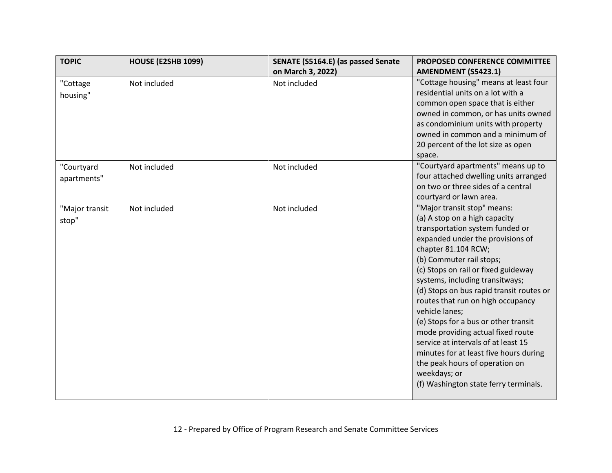| <b>TOPIC</b>              | <b>HOUSE (E2SHB 1099)</b> | SENATE (S5164.E) (as passed Senate | <b>PROPOSED CONFERENCE COMMITTEE</b>                                                                                                                                                                                                                                                                                                                                                                                                                                                                                                                                                                                         |
|---------------------------|---------------------------|------------------------------------|------------------------------------------------------------------------------------------------------------------------------------------------------------------------------------------------------------------------------------------------------------------------------------------------------------------------------------------------------------------------------------------------------------------------------------------------------------------------------------------------------------------------------------------------------------------------------------------------------------------------------|
|                           |                           | on March 3, 2022)                  | <b>AMENDMENT (S5423.1)</b>                                                                                                                                                                                                                                                                                                                                                                                                                                                                                                                                                                                                   |
| "Cottage<br>housing"      | Not included              | Not included                       | "Cottage housing" means at least four<br>residential units on a lot with a<br>common open space that is either<br>owned in common, or has units owned<br>as condominium units with property<br>owned in common and a minimum of<br>20 percent of the lot size as open<br>space.                                                                                                                                                                                                                                                                                                                                              |
| "Courtyard<br>apartments" | Not included              | Not included                       | "Courtyard apartments" means up to<br>four attached dwelling units arranged<br>on two or three sides of a central<br>courtyard or lawn area.                                                                                                                                                                                                                                                                                                                                                                                                                                                                                 |
| "Major transit<br>stop"   | Not included              | Not included                       | "Major transit stop" means:<br>(a) A stop on a high capacity<br>transportation system funded or<br>expanded under the provisions of<br>chapter 81.104 RCW;<br>(b) Commuter rail stops;<br>(c) Stops on rail or fixed guideway<br>systems, including transitways;<br>(d) Stops on bus rapid transit routes or<br>routes that run on high occupancy<br>vehicle lanes;<br>(e) Stops for a bus or other transit<br>mode providing actual fixed route<br>service at intervals of at least 15<br>minutes for at least five hours during<br>the peak hours of operation on<br>weekdays; or<br>(f) Washington state ferry terminals. |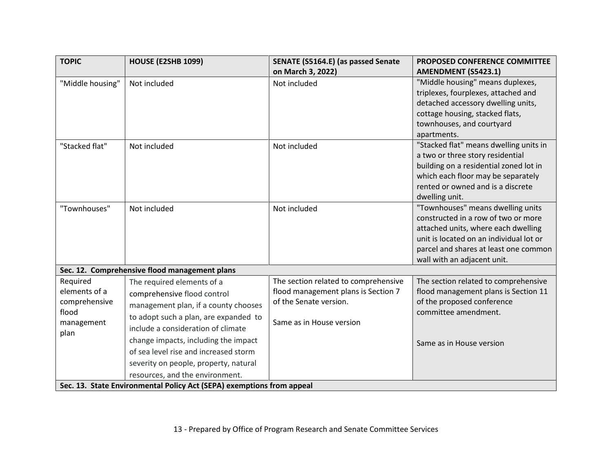| <b>TOPIC</b>                                                          | <b>HOUSE (E2SHB 1099)</b>                     | SENATE (S5164.E) (as passed Senate   | <b>PROPOSED CONFERENCE COMMITTEE</b>    |
|-----------------------------------------------------------------------|-----------------------------------------------|--------------------------------------|-----------------------------------------|
|                                                                       |                                               | on March 3, 2022)                    | <b>AMENDMENT (S5423.1)</b>              |
| "Middle housing"                                                      | Not included                                  | Not included                         | "Middle housing" means duplexes,        |
|                                                                       |                                               |                                      | triplexes, fourplexes, attached and     |
|                                                                       |                                               |                                      | detached accessory dwelling units,      |
|                                                                       |                                               |                                      | cottage housing, stacked flats,         |
|                                                                       |                                               |                                      | townhouses, and courtyard               |
|                                                                       |                                               |                                      | apartments.                             |
| "Stacked flat"                                                        | Not included                                  | Not included                         | "Stacked flat" means dwelling units in  |
|                                                                       |                                               |                                      | a two or three story residential        |
|                                                                       |                                               |                                      | building on a residential zoned lot in  |
|                                                                       |                                               |                                      | which each floor may be separately      |
|                                                                       |                                               |                                      | rented or owned and is a discrete       |
|                                                                       |                                               |                                      | dwelling unit.                          |
| "Townhouses"                                                          | Not included                                  | Not included                         | "Townhouses" means dwelling units       |
|                                                                       |                                               |                                      | constructed in a row of two or more     |
|                                                                       |                                               |                                      | attached units, where each dwelling     |
|                                                                       |                                               |                                      | unit is located on an individual lot or |
|                                                                       |                                               |                                      | parcel and shares at least one common   |
|                                                                       |                                               |                                      | wall with an adjacent unit.             |
|                                                                       | Sec. 12. Comprehensive flood management plans |                                      |                                         |
| Required                                                              | The required elements of a                    | The section related to comprehensive | The section related to comprehensive    |
| elements of a                                                         | comprehensive flood control                   | flood management plans is Section 7  | flood management plans is Section 11    |
| comprehensive                                                         | management plan, if a county chooses          | of the Senate version.               | of the proposed conference              |
| flood                                                                 | to adopt such a plan, are expanded to         |                                      | committee amendment.                    |
| management                                                            | include a consideration of climate            | Same as in House version             |                                         |
| plan                                                                  | change impacts, including the impact          |                                      | Same as in House version                |
|                                                                       | of sea level rise and increased storm         |                                      |                                         |
|                                                                       | severity on people, property, natural         |                                      |                                         |
|                                                                       | resources, and the environment.               |                                      |                                         |
| Sec. 13. State Environmental Policy Act (SEPA) exemptions from appeal |                                               |                                      |                                         |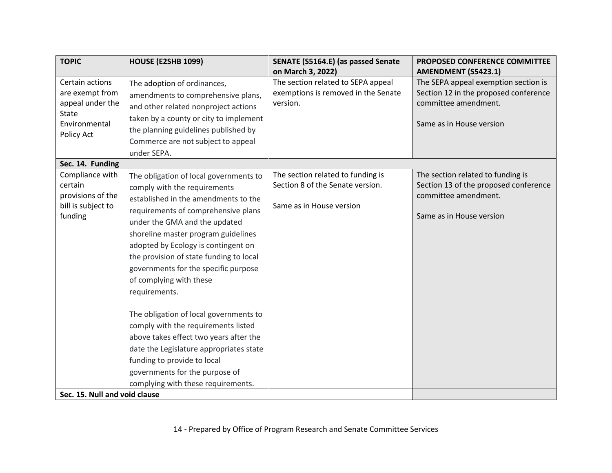| <b>TOPIC</b>                                                                                   | <b>HOUSE (E2SHB 1099)</b>                                                                                                                                                                                                                                                                                                                                                                                                                                                                                                                                                                                                                                                        | SENATE (S5164.E) (as passed Senate                                                                | PROPOSED CONFERENCE COMMITTEE                                                                                                     |
|------------------------------------------------------------------------------------------------|----------------------------------------------------------------------------------------------------------------------------------------------------------------------------------------------------------------------------------------------------------------------------------------------------------------------------------------------------------------------------------------------------------------------------------------------------------------------------------------------------------------------------------------------------------------------------------------------------------------------------------------------------------------------------------|---------------------------------------------------------------------------------------------------|-----------------------------------------------------------------------------------------------------------------------------------|
|                                                                                                |                                                                                                                                                                                                                                                                                                                                                                                                                                                                                                                                                                                                                                                                                  | on March 3, 2022)                                                                                 | AMENDMENT (S5423.1)                                                                                                               |
| Certain actions<br>are exempt from<br>appeal under the<br>State<br>Environmental<br>Policy Act | The adoption of ordinances,<br>amendments to comprehensive plans,<br>and other related nonproject actions<br>taken by a county or city to implement<br>the planning guidelines published by<br>Commerce are not subject to appeal<br>under SEPA.                                                                                                                                                                                                                                                                                                                                                                                                                                 | The section related to SEPA appeal<br>exemptions is removed in the Senate<br>version.             | The SEPA appeal exemption section is<br>Section 12 in the proposed conference<br>committee amendment.<br>Same as in House version |
| Sec. 14. Funding                                                                               |                                                                                                                                                                                                                                                                                                                                                                                                                                                                                                                                                                                                                                                                                  |                                                                                                   |                                                                                                                                   |
| Compliance with<br>certain<br>provisions of the<br>bill is subject to<br>funding               | The obligation of local governments to<br>comply with the requirements<br>established in the amendments to the<br>requirements of comprehensive plans<br>under the GMA and the updated<br>shoreline master program guidelines<br>adopted by Ecology is contingent on<br>the provision of state funding to local<br>governments for the specific purpose<br>of complying with these<br>requirements.<br>The obligation of local governments to<br>comply with the requirements listed<br>above takes effect two years after the<br>date the Legislature appropriates state<br>funding to provide to local<br>governments for the purpose of<br>complying with these requirements. | The section related to funding is<br>Section 8 of the Senate version.<br>Same as in House version | The section related to funding is<br>Section 13 of the proposed conference<br>committee amendment.<br>Same as in House version    |
| Sec. 15. Null and void clause                                                                  |                                                                                                                                                                                                                                                                                                                                                                                                                                                                                                                                                                                                                                                                                  |                                                                                                   |                                                                                                                                   |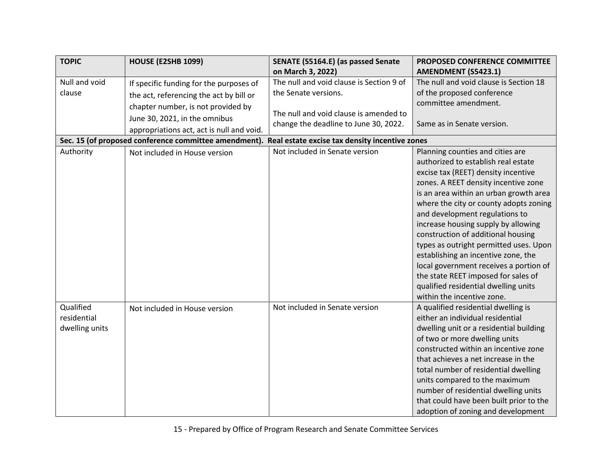| <b>TOPIC</b>                                          | <b>HOUSE (E2SHB 1099)</b>                 | SENATE (S5164.E) (as passed Senate             | PROPOSED CONFERENCE COMMITTEE                                           |
|-------------------------------------------------------|-------------------------------------------|------------------------------------------------|-------------------------------------------------------------------------|
|                                                       |                                           | on March 3, 2022)                              | AMENDMENT (S5423.1)                                                     |
| Null and void                                         | If specific funding for the purposes of   | The null and void clause is Section 9 of       | The null and void clause is Section 18                                  |
| clause                                                | the act, referencing the act by bill or   | the Senate versions.                           | of the proposed conference                                              |
|                                                       | chapter number, is not provided by        |                                                | committee amendment.                                                    |
|                                                       | June 30, 2021, in the omnibus             | The null and void clause is amended to         |                                                                         |
|                                                       | appropriations act, act is null and void. | change the deadline to June 30, 2022.          | Same as in Senate version.                                              |
|                                                       |                                           | Real estate excise tax density incentive zones |                                                                         |
| Sec. 15 (of proposed conference committee amendment). |                                           | Not included in Senate version                 |                                                                         |
| Authority                                             | Not included in House version             |                                                | Planning counties and cities are<br>authorized to establish real estate |
|                                                       |                                           |                                                | excise tax (REET) density incentive                                     |
|                                                       |                                           |                                                | zones. A REET density incentive zone                                    |
|                                                       |                                           |                                                | is an area within an urban growth area                                  |
|                                                       |                                           |                                                | where the city or county adopts zoning                                  |
|                                                       |                                           |                                                | and development regulations to                                          |
|                                                       |                                           |                                                | increase housing supply by allowing                                     |
|                                                       |                                           |                                                | construction of additional housing                                      |
|                                                       |                                           |                                                | types as outright permitted uses. Upon                                  |
|                                                       |                                           |                                                | establishing an incentive zone, the                                     |
|                                                       |                                           |                                                | local government receives a portion of                                  |
|                                                       |                                           |                                                | the state REET imposed for sales of                                     |
|                                                       |                                           |                                                | qualified residential dwelling units                                    |
|                                                       |                                           |                                                | within the incentive zone.                                              |
| Qualified                                             | Not included in House version             | Not included in Senate version                 | A qualified residential dwelling is                                     |
| residential                                           |                                           |                                                | either an individual residential                                        |
| dwelling units                                        |                                           |                                                | dwelling unit or a residential building                                 |
|                                                       |                                           |                                                | of two or more dwelling units                                           |
|                                                       |                                           |                                                | constructed within an incentive zone                                    |
|                                                       |                                           |                                                | that achieves a net increase in the                                     |
|                                                       |                                           |                                                | total number of residential dwelling                                    |
|                                                       |                                           |                                                | units compared to the maximum                                           |
|                                                       |                                           |                                                | number of residential dwelling units                                    |
|                                                       |                                           |                                                | that could have been built prior to the                                 |
|                                                       |                                           |                                                | adoption of zoning and development                                      |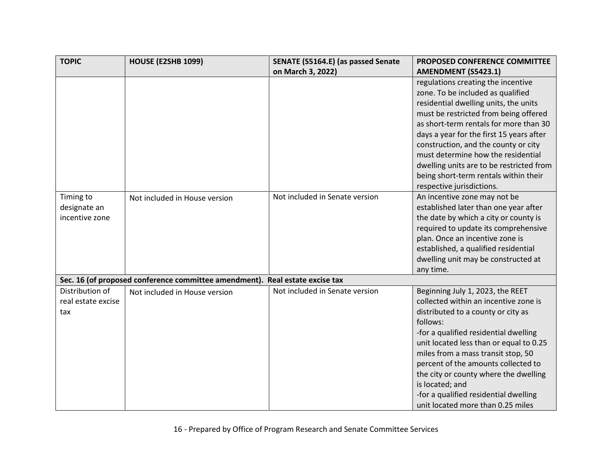| <b>TOPIC</b>                                 | <b>HOUSE (E2SHB 1099)</b>                             | SENATE (S5164.E) (as passed Senate | PROPOSED CONFERENCE COMMITTEE                                                                                                                                                                                                                                                                                                                                                                                                                   |
|----------------------------------------------|-------------------------------------------------------|------------------------------------|-------------------------------------------------------------------------------------------------------------------------------------------------------------------------------------------------------------------------------------------------------------------------------------------------------------------------------------------------------------------------------------------------------------------------------------------------|
|                                              |                                                       | on March 3, 2022)                  | <b>AMENDMENT (S5423.1)</b>                                                                                                                                                                                                                                                                                                                                                                                                                      |
|                                              |                                                       |                                    | regulations creating the incentive<br>zone. To be included as qualified<br>residential dwelling units, the units<br>must be restricted from being offered<br>as short-term rentals for more than 30<br>days a year for the first 15 years after<br>construction, and the county or city<br>must determine how the residential<br>dwelling units are to be restricted from<br>being short-term rentals within their<br>respective jurisdictions. |
| Timing to<br>designate an<br>incentive zone  | Not included in House version                         | Not included in Senate version     | An incentive zone may not be<br>established later than one year after<br>the date by which a city or county is<br>required to update its comprehensive<br>plan. Once an incentive zone is<br>established, a qualified residential<br>dwelling unit may be constructed at<br>any time.                                                                                                                                                           |
|                                              | Sec. 16 (of proposed conference committee amendment). | Real estate excise tax             |                                                                                                                                                                                                                                                                                                                                                                                                                                                 |
| Distribution of<br>real estate excise<br>tax | Not included in House version                         | Not included in Senate version     | Beginning July 1, 2023, the REET<br>collected within an incentive zone is<br>distributed to a county or city as<br>follows:<br>-for a qualified residential dwelling<br>unit located less than or equal to 0.25<br>miles from a mass transit stop, 50<br>percent of the amounts collected to<br>the city or county where the dwelling<br>is located; and<br>-for a qualified residential dwelling<br>unit located more than 0.25 miles          |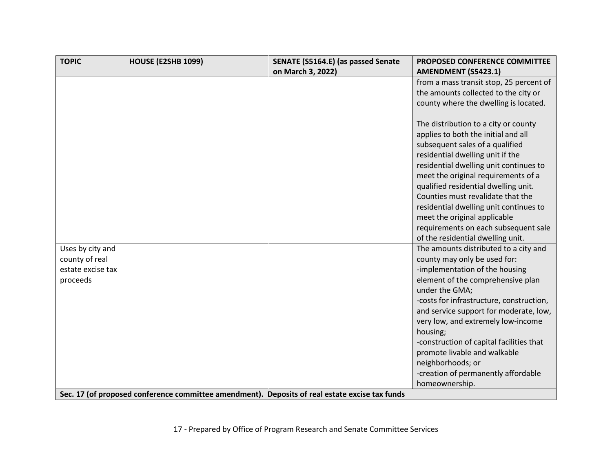| <b>TOPIC</b>      | <b>HOUSE (E2SHB 1099)</b>                                                                      | SENATE (S5164.E) (as passed Senate | PROPOSED CONFERENCE COMMITTEE            |
|-------------------|------------------------------------------------------------------------------------------------|------------------------------------|------------------------------------------|
|                   |                                                                                                | on March 3, 2022)                  | <b>AMENDMENT (S5423.1)</b>               |
|                   |                                                                                                |                                    | from a mass transit stop, 25 percent of  |
|                   |                                                                                                |                                    | the amounts collected to the city or     |
|                   |                                                                                                |                                    | county where the dwelling is located.    |
|                   |                                                                                                |                                    |                                          |
|                   |                                                                                                |                                    | The distribution to a city or county     |
|                   |                                                                                                |                                    | applies to both the initial and all      |
|                   |                                                                                                |                                    | subsequent sales of a qualified          |
|                   |                                                                                                |                                    | residential dwelling unit if the         |
|                   |                                                                                                |                                    | residential dwelling unit continues to   |
|                   |                                                                                                |                                    | meet the original requirements of a      |
|                   |                                                                                                |                                    | qualified residential dwelling unit.     |
|                   |                                                                                                |                                    | Counties must revalidate that the        |
|                   |                                                                                                |                                    | residential dwelling unit continues to   |
|                   |                                                                                                |                                    | meet the original applicable             |
|                   |                                                                                                |                                    | requirements on each subsequent sale     |
|                   |                                                                                                |                                    | of the residential dwelling unit.        |
| Uses by city and  |                                                                                                |                                    | The amounts distributed to a city and    |
| county of real    |                                                                                                |                                    | county may only be used for:             |
| estate excise tax |                                                                                                |                                    | -implementation of the housing           |
| proceeds          |                                                                                                |                                    | element of the comprehensive plan        |
|                   |                                                                                                |                                    | under the GMA;                           |
|                   |                                                                                                |                                    | -costs for infrastructure, construction, |
|                   |                                                                                                |                                    | and service support for moderate, low,   |
|                   |                                                                                                |                                    | very low, and extremely low-income       |
|                   |                                                                                                |                                    | housing;                                 |
|                   |                                                                                                |                                    | -construction of capital facilities that |
|                   |                                                                                                |                                    | promote livable and walkable             |
|                   |                                                                                                |                                    | neighborhoods; or                        |
|                   |                                                                                                |                                    | -creation of permanently affordable      |
|                   |                                                                                                |                                    | homeownership.                           |
|                   | Sec. 17 (of proposed conference committee amendment). Deposits of real estate excise tax funds |                                    |                                          |